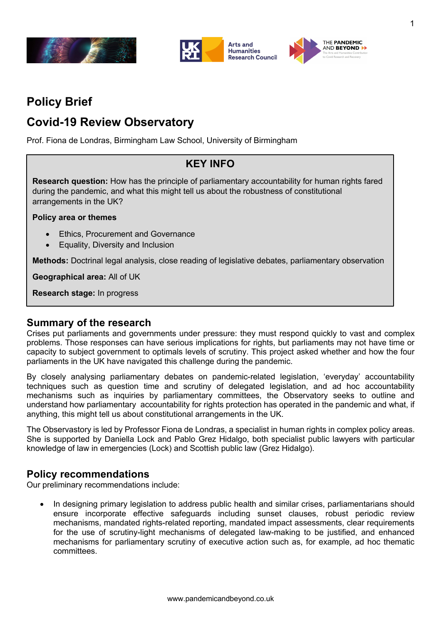



# **Policy Brief**

# **Covid-19 Review Observatory**

Prof. Fiona de Londras, Birmingham Law School, University of Birmingham

## **KEY INFO**

**Research question:** How has the principle of parliamentary accountability for human rights fared during the pandemic, and what this might tell us about the robustness of constitutional arrangements in the UK?

#### **Policy area or themes**

- Ethics, Procurement and Governance
- Equality, Diversity and Inclusion

**Methods:** Doctrinal legal analysis, close reading of legislative debates, parliamentary observation

**Geographical area:** All of UK

**Research stage:** In progress

### **Summary of the research**

Crises put parliaments and governments under pressure: they must respond quickly to vast and complex problems. Those responses can have serious implications for rights, but parliaments may not have time or capacity to subject government to optimals levels of scrutiny. This project asked whether and how the four parliaments in the UK have navigated this challenge during the pandemic.

By closely analysing parliamentary debates on pandemic-related legislation, 'everyday' accountability techniques such as question time and scrutiny of delegated legislation, and ad hoc accountability mechanisms such as inquiries by parliamentary committees, the Observatory seeks to outline and understand how parliamentary accountability for rights protection has operated in the pandemic and what, if anything, this might tell us about constitutional arrangements in the UK.

The Observastory is led by Professor Fiona de Londras, a specialist in human rights in complex policy areas. She is supported by Daniella Lock and Pablo Grez Hidalgo, both specialist public lawyers with particular knowledge of law in emergencies (Lock) and Scottish public law (Grez Hidalgo).

## **Policy recommendations**

Our preliminary recommendations include:

In designing primary legislation to address public health and similar crises, parliamentarians should ensure incorporate effective safeguards including sunset clauses, robust periodic review mechanisms, mandated rights-related reporting, mandated impact assessments, clear requirements for the use of scrutiny-light mechanisms of delegated law-making to be justified, and enhanced mechanisms for parliamentary scrutiny of executive action such as, for example, ad hoc thematic committees.